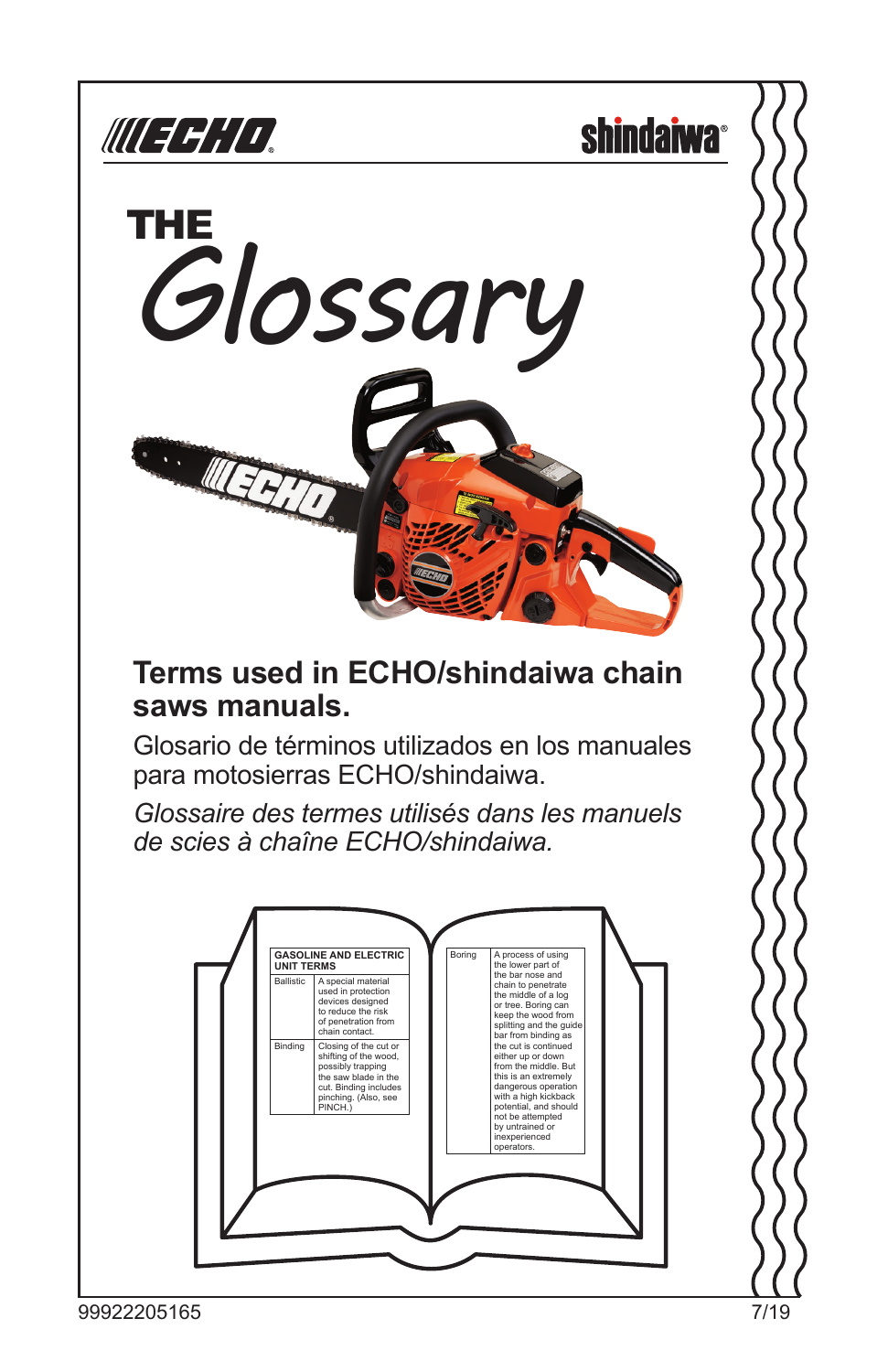

**shindaiwa**<sup>®</sup>



### **Terms used in ECHO/shindaiwa chain saws manuals.**

Glosario de términos utilizados en los manuales para motosierras ECHO/shindaiwa.

*Glossaire des termes utilisés dans les manuels de scies à chaîne ECHO/shindaiwa.*

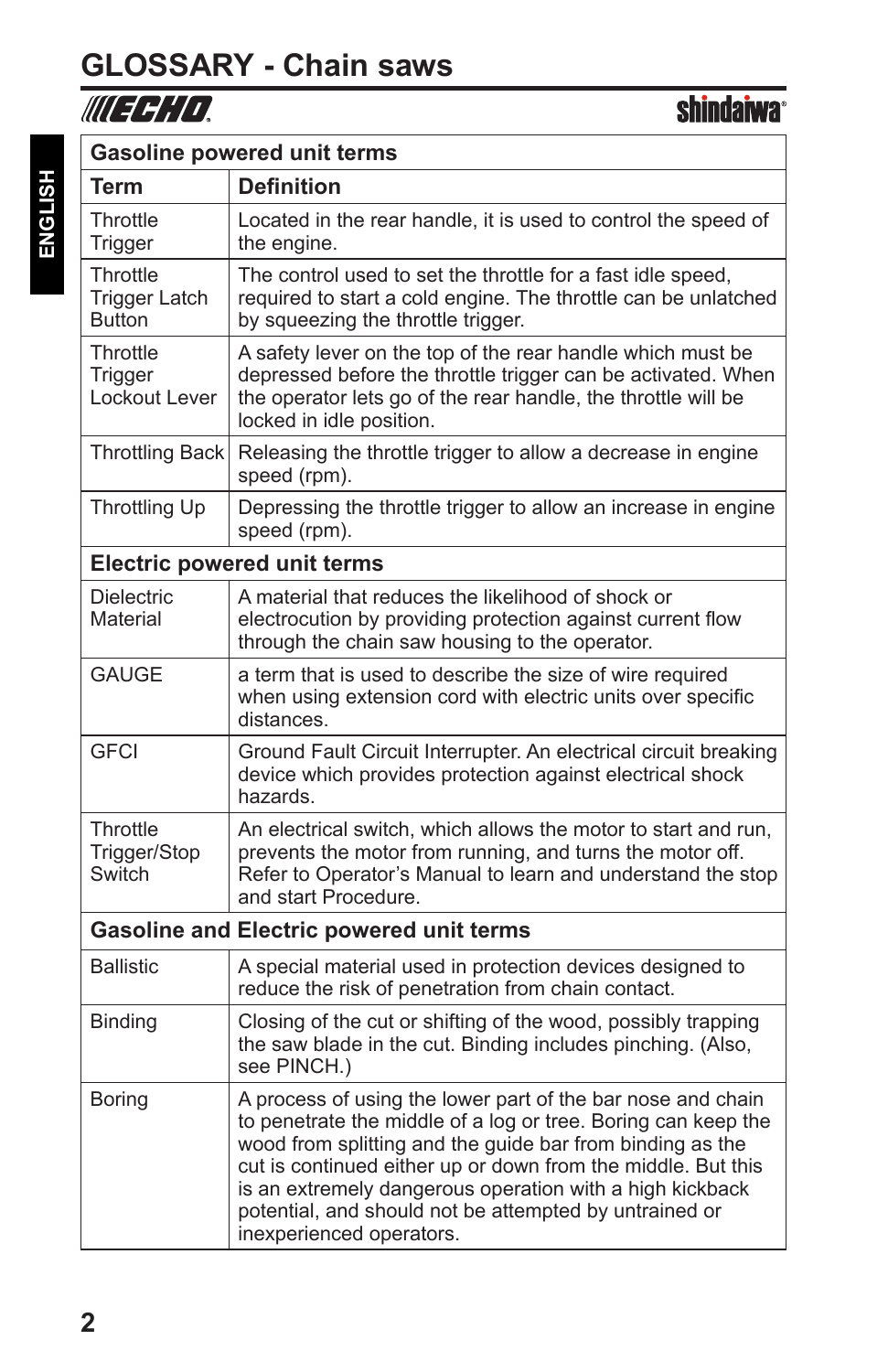### **GLOSSARY - Chain saws**

### WIEGHD.

| <b>Gasoline powered unit terms</b>              |                                                                                                                                                                                                                                                                                                                                                                                                             |  |
|-------------------------------------------------|-------------------------------------------------------------------------------------------------------------------------------------------------------------------------------------------------------------------------------------------------------------------------------------------------------------------------------------------------------------------------------------------------------------|--|
| Term                                            | <b>Definition</b>                                                                                                                                                                                                                                                                                                                                                                                           |  |
| Throttle<br>Trigger                             | Located in the rear handle, it is used to control the speed of<br>the engine.                                                                                                                                                                                                                                                                                                                               |  |
| Throttle<br>Trigger Latch<br><b>Button</b>      | The control used to set the throttle for a fast idle speed,<br>required to start a cold engine. The throttle can be unlatched<br>by squeezing the throttle trigger.                                                                                                                                                                                                                                         |  |
| Throttle<br>Trigger<br>Lockout Lever            | A safety lever on the top of the rear handle which must be<br>depressed before the throttle trigger can be activated. When<br>the operator lets go of the rear handle, the throttle will be<br>locked in idle position.                                                                                                                                                                                     |  |
| <b>Throttling Back</b>                          | Releasing the throttle trigger to allow a decrease in engine<br>speed (rpm).                                                                                                                                                                                                                                                                                                                                |  |
| Throttling Up                                   | Depressing the throttle trigger to allow an increase in engine<br>speed (rpm).                                                                                                                                                                                                                                                                                                                              |  |
|                                                 | <b>Electric powered unit terms</b>                                                                                                                                                                                                                                                                                                                                                                          |  |
| <b>Dielectric</b><br>Material                   | A material that reduces the likelihood of shock or<br>electrocution by providing protection against current flow<br>through the chain saw housing to the operator.                                                                                                                                                                                                                                          |  |
| <b>GAUGE</b>                                    | a term that is used to describe the size of wire required<br>when using extension cord with electric units over specific<br>distances.                                                                                                                                                                                                                                                                      |  |
| <b>GFCI</b>                                     | Ground Fault Circuit Interrupter. An electrical circuit breaking<br>device which provides protection against electrical shock<br>hazards.                                                                                                                                                                                                                                                                   |  |
| Throttle<br>Trigger/Stop<br>Switch              | An electrical switch, which allows the motor to start and run,<br>prevents the motor from running, and turns the motor off.<br>Refer to Operator's Manual to learn and understand the stop<br>and start Procedure.                                                                                                                                                                                          |  |
| <b>Gasoline and Electric powered unit terms</b> |                                                                                                                                                                                                                                                                                                                                                                                                             |  |
| <b>Ballistic</b>                                | A special material used in protection devices designed to<br>reduce the risk of penetration from chain contact.                                                                                                                                                                                                                                                                                             |  |
| <b>Binding</b>                                  | Closing of the cut or shifting of the wood, possibly trapping<br>the saw blade in the cut. Binding includes pinching. (Also,<br>see PINCH.)                                                                                                                                                                                                                                                                 |  |
| <b>Boring</b>                                   | A process of using the lower part of the bar nose and chain<br>to penetrate the middle of a log or tree. Boring can keep the<br>wood from splitting and the guide bar from binding as the<br>cut is continued either up or down from the middle. But this<br>is an extremely dangerous operation with a high kickback<br>potential, and should not be attempted by untrained or<br>inexperienced operators. |  |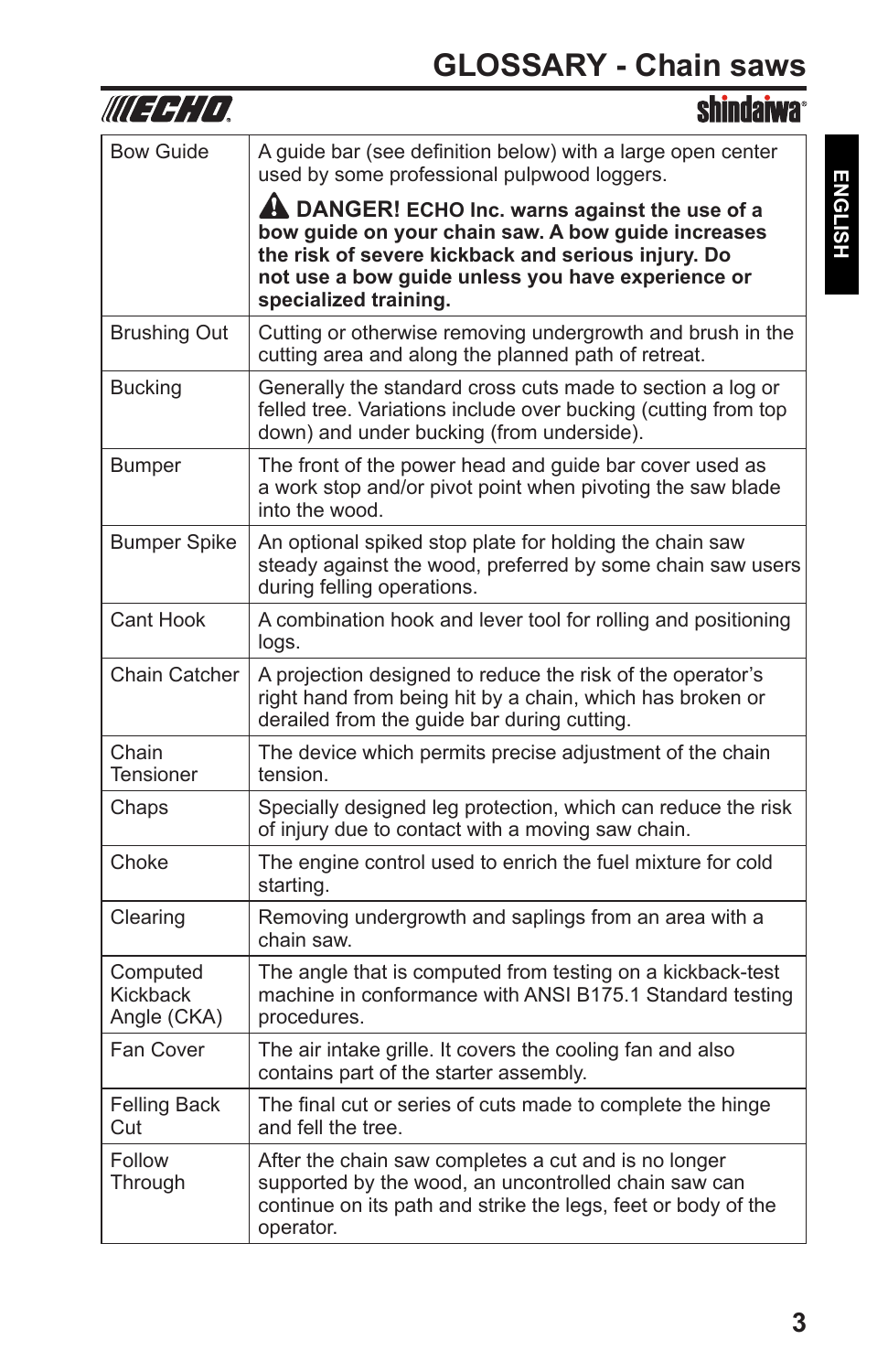|                                     | SIIIIllialwa                                                                                                                                                                                                                             |
|-------------------------------------|------------------------------------------------------------------------------------------------------------------------------------------------------------------------------------------------------------------------------------------|
| <b>Bow Guide</b>                    | A guide bar (see definition below) with a large open center<br>used by some professional pulpwood loggers.                                                                                                                               |
|                                     | A DANGER! ECHO Inc. warns against the use of a<br>bow quide on your chain saw. A bow quide increases<br>the risk of severe kickback and serious injury. Do<br>not use a bow guide unless you have experience or<br>specialized training. |
| <b>Brushing Out</b>                 | Cutting or otherwise removing undergrowth and brush in the<br>cutting area and along the planned path of retreat.                                                                                                                        |
| <b>Bucking</b>                      | Generally the standard cross cuts made to section a log or<br>felled tree. Variations include over bucking (cutting from top<br>down) and under bucking (from underside).                                                                |
| Bumper                              | The front of the power head and guide bar cover used as<br>a work stop and/or pivot point when pivoting the saw blade<br>into the wood.                                                                                                  |
| <b>Bumper Spike</b>                 | An optional spiked stop plate for holding the chain saw<br>steady against the wood, preferred by some chain saw users<br>during felling operations.                                                                                      |
| Cant Hook                           | A combination hook and lever tool for rolling and positioning<br>logs.                                                                                                                                                                   |
| Chain Catcher                       | A projection designed to reduce the risk of the operator's<br>right hand from being hit by a chain, which has broken or<br>derailed from the guide bar during cutting.                                                                   |
| Chain<br><b>Tensioner</b>           | The device which permits precise adjustment of the chain<br>tension.                                                                                                                                                                     |
| Chaps                               | Specially designed leg protection, which can reduce the risk<br>of injury due to contact with a moving saw chain.                                                                                                                        |
| Choke                               | The engine control used to enrich the fuel mixture for cold<br>starting.                                                                                                                                                                 |
| Clearing                            | Removing undergrowth and saplings from an area with a<br>chain saw.                                                                                                                                                                      |
| Computed<br>Kickback<br>Angle (CKA) | The angle that is computed from testing on a kickback-test<br>machine in conformance with ANSI B175.1 Standard testing<br>procedures.                                                                                                    |
| Fan Cover                           | The air intake grille. It covers the cooling fan and also<br>contains part of the starter assembly.                                                                                                                                      |
| <b>Felling Back</b><br>Cut          | The final cut or series of cuts made to complete the hinge<br>and fell the tree.                                                                                                                                                         |
| Follow<br>Through                   | After the chain saw completes a cut and is no longer<br>supported by the wood, an uncontrolled chain saw can<br>continue on its path and strike the legs, feet or body of the<br>operator.                                               |

WEERTH.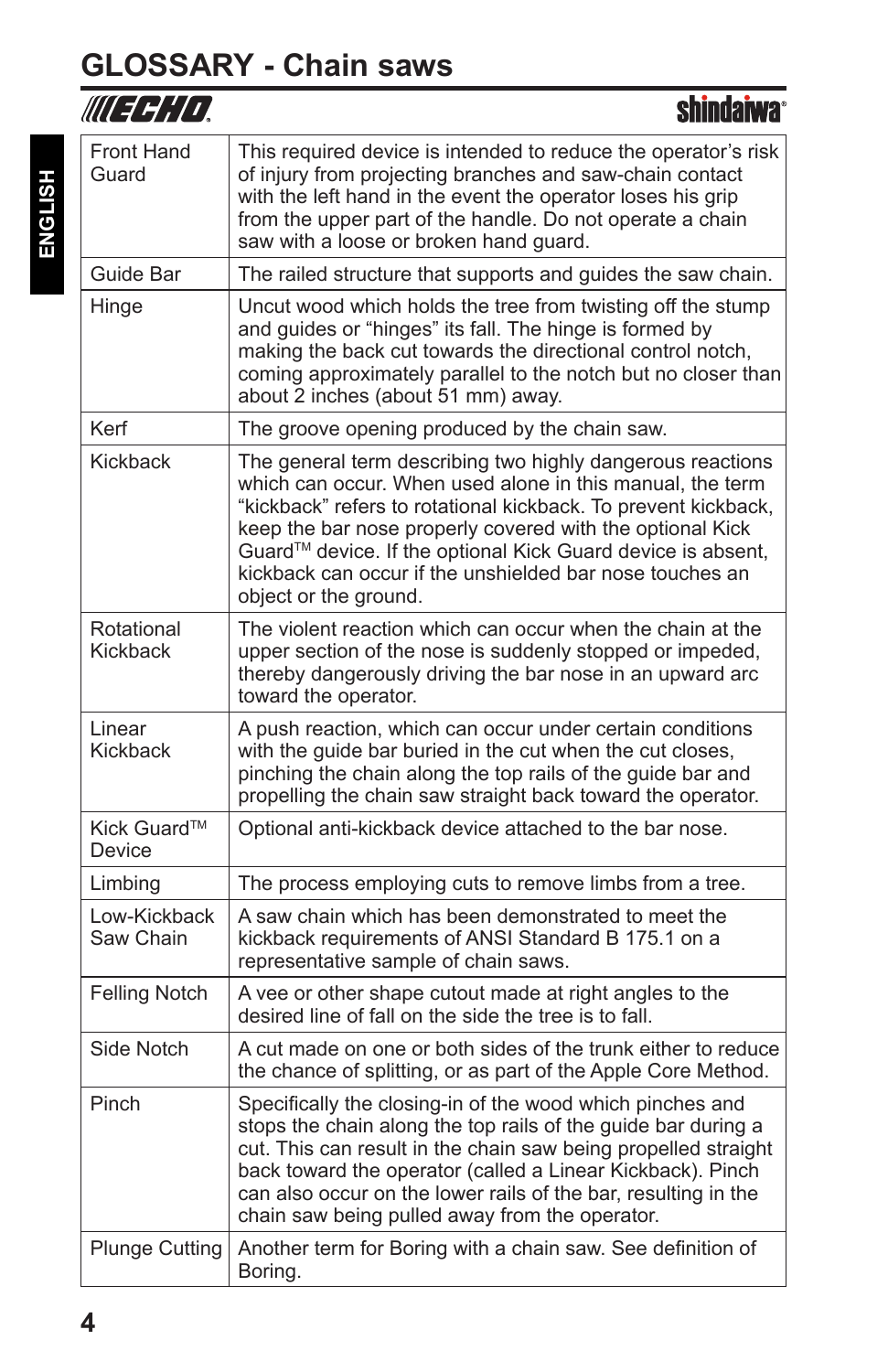### **GLOSSARY - Chain saws**

|                           | shindaiwa <sup>®</sup>                                                                                                                                                                                                                                                                                                                                                                                     |
|---------------------------|------------------------------------------------------------------------------------------------------------------------------------------------------------------------------------------------------------------------------------------------------------------------------------------------------------------------------------------------------------------------------------------------------------|
| Front Hand<br>Guard       | This required device is intended to reduce the operator's risk<br>of injury from projecting branches and saw-chain contact<br>with the left hand in the event the operator loses his grip<br>from the upper part of the handle. Do not operate a chain<br>saw with a loose or broken hand guard.                                                                                                           |
| Guide Bar                 | The railed structure that supports and guides the saw chain.                                                                                                                                                                                                                                                                                                                                               |
| Hinge                     | Uncut wood which holds the tree from twisting off the stump<br>and guides or "hinges" its fall. The hinge is formed by<br>making the back cut towards the directional control notch,<br>coming approximately parallel to the notch but no closer than<br>about 2 inches (about 51 mm) away.                                                                                                                |
| Kerf                      | The groove opening produced by the chain saw.                                                                                                                                                                                                                                                                                                                                                              |
| Kickback                  | The general term describing two highly dangerous reactions<br>which can occur. When used alone in this manual, the term<br>"kickback" refers to rotational kickback. To prevent kickback,<br>keep the bar nose properly covered with the optional Kick<br>Guard™ device. If the optional Kick Guard device is absent,<br>kickback can occur if the unshielded bar nose touches an<br>object or the ground. |
| Rotational<br>Kickback    | The violent reaction which can occur when the chain at the<br>upper section of the nose is suddenly stopped or impeded,<br>thereby dangerously driving the bar nose in an upward arc<br>toward the operator.                                                                                                                                                                                               |
| Linear<br>Kickback        | A push reaction, which can occur under certain conditions<br>with the guide bar buried in the cut when the cut closes,<br>pinching the chain along the top rails of the guide bar and<br>propelling the chain saw straight back toward the operator.                                                                                                                                                       |
| Kick Guard™<br>Device     | Optional anti-kickback device attached to the bar nose.                                                                                                                                                                                                                                                                                                                                                    |
| Limbing                   | The process employing cuts to remove limbs from a tree.                                                                                                                                                                                                                                                                                                                                                    |
| Low-Kickback<br>Saw Chain | A saw chain which has been demonstrated to meet the<br>kickback requirements of ANSI Standard B 175.1 on a<br>representative sample of chain saws.                                                                                                                                                                                                                                                         |
| <b>Felling Notch</b>      | A vee or other shape cutout made at right angles to the<br>desired line of fall on the side the tree is to fall.                                                                                                                                                                                                                                                                                           |
| Side Notch                | A cut made on one or both sides of the trunk either to reduce<br>the chance of splitting, or as part of the Apple Core Method.                                                                                                                                                                                                                                                                             |
| Pinch                     | Specifically the closing-in of the wood which pinches and<br>stops the chain along the top rails of the guide bar during a<br>cut. This can result in the chain saw being propelled straight<br>back toward the operator (called a Linear Kickback). Pinch<br>can also occur on the lower rails of the bar, resulting in the<br>chain saw being pulled away from the operator.                             |
| <b>Plunge Cutting</b>     | Another term for Boring with a chain saw. See definition of<br>Boring.                                                                                                                                                                                                                                                                                                                                     |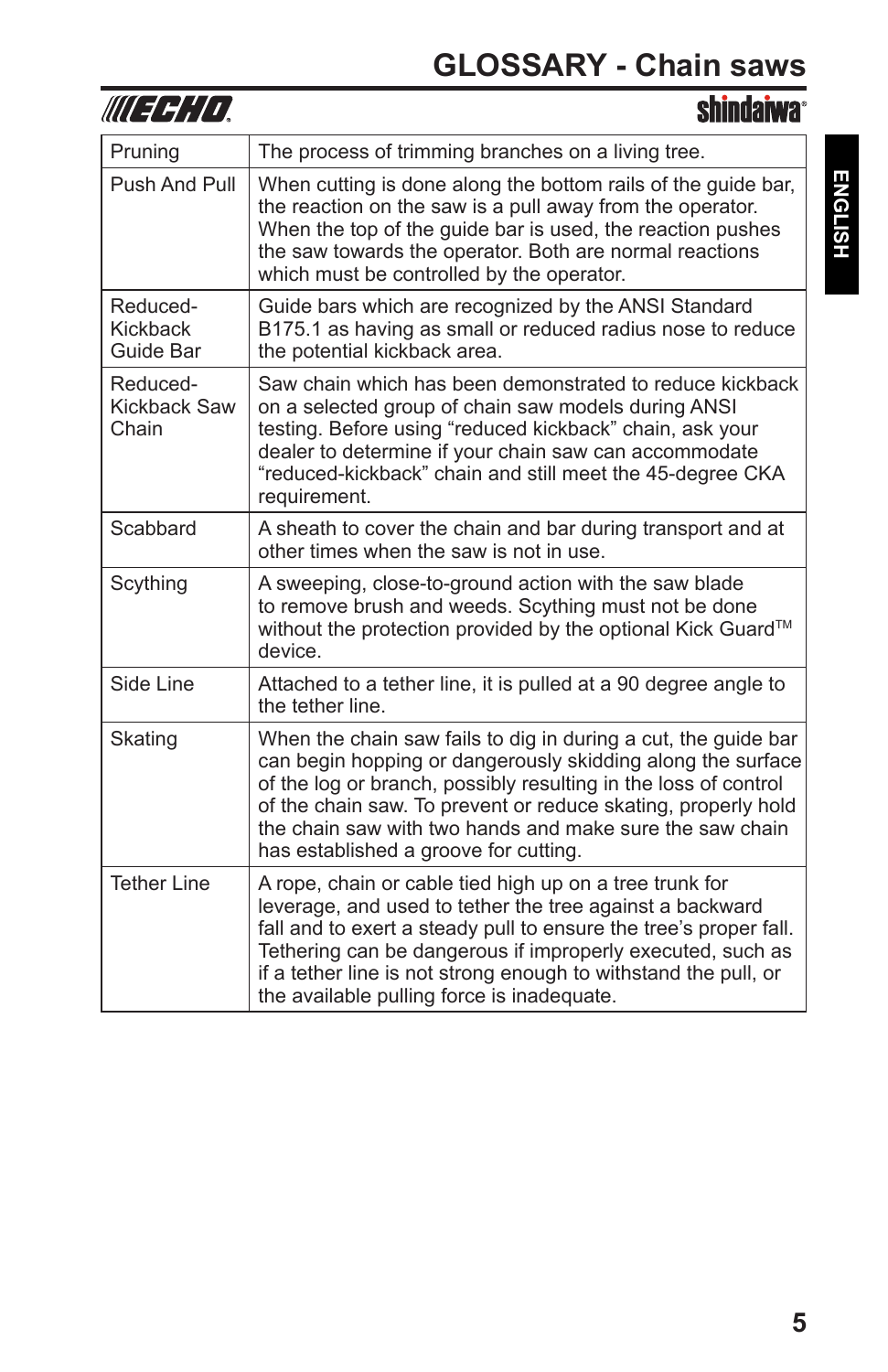| WUEFHIO,                          | <b>shindaiwa</b> °                                                                                                                                                                                                                                                                                                                                                      |
|-----------------------------------|-------------------------------------------------------------------------------------------------------------------------------------------------------------------------------------------------------------------------------------------------------------------------------------------------------------------------------------------------------------------------|
| Pruning                           | The process of trimming branches on a living tree.                                                                                                                                                                                                                                                                                                                      |
| Push And Pull                     | When cutting is done along the bottom rails of the guide bar,<br>the reaction on the saw is a pull away from the operator.<br>When the top of the guide bar is used, the reaction pushes<br>the saw towards the operator. Both are normal reactions<br>which must be controlled by the operator.                                                                        |
| Reduced-<br>Kickback<br>Guide Bar | Guide bars which are recognized by the ANSI Standard<br>B175.1 as having as small or reduced radius nose to reduce<br>the potential kickback area.                                                                                                                                                                                                                      |
| Reduced-<br>Kickback Saw<br>Chain | Saw chain which has been demonstrated to reduce kickback<br>on a selected group of chain saw models during ANSI<br>testing. Before using "reduced kickback" chain, ask your<br>dealer to determine if your chain saw can accommodate<br>"reduced-kickback" chain and still meet the 45-degree CKA<br>requirement.                                                       |
| Scabbard                          | A sheath to cover the chain and bar during transport and at<br>other times when the saw is not in use.                                                                                                                                                                                                                                                                  |
| Scything                          | A sweeping, close-to-ground action with the saw blade<br>to remove brush and weeds. Scything must not be done<br>without the protection provided by the optional Kick Guard™<br>device.                                                                                                                                                                                 |
| Side Line                         | Attached to a tether line, it is pulled at a 90 degree angle to<br>the tether line.                                                                                                                                                                                                                                                                                     |
| Skating                           | When the chain saw fails to dig in during a cut, the guide bar<br>can begin hopping or dangerously skidding along the surface<br>of the log or branch, possibly resulting in the loss of control<br>of the chain saw. To prevent or reduce skating, properly hold<br>the chain saw with two hands and make sure the saw chain<br>has established a groove for cutting.  |
| <b>Tether Line</b>                | A rope, chain or cable tied high up on a tree trunk for<br>leverage, and used to tether the tree against a backward<br>fall and to exert a steady pull to ensure the tree's proper fall.<br>Tethering can be dangerous if improperly executed, such as<br>if a tether line is not strong enough to withstand the pull, or<br>the available pulling force is inadequate. |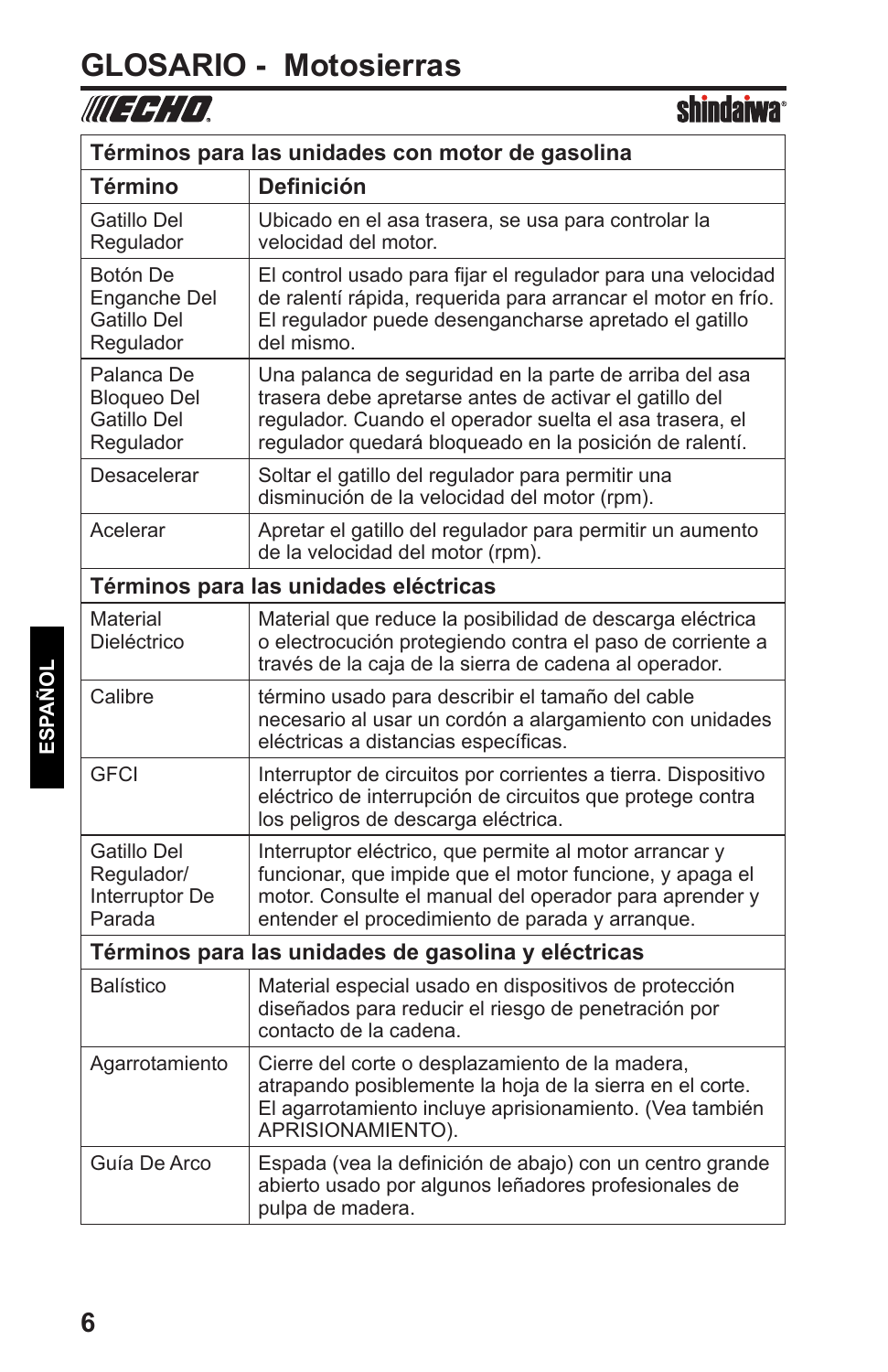# **GLOSARIO - Motosierras**

### **shindaiwa**<sup>®</sup>

| Términos para las unidades con motor de gasolina             |                                                                                                                                                                                                                                       |  |
|--------------------------------------------------------------|---------------------------------------------------------------------------------------------------------------------------------------------------------------------------------------------------------------------------------------|--|
| Término                                                      | <b>Definición</b>                                                                                                                                                                                                                     |  |
| Gatillo Del<br>Regulador                                     | Ubicado en el asa trasera, se usa para controlar la<br>velocidad del motor.                                                                                                                                                           |  |
| Botón De<br>Enganche Del<br>Gatillo Del<br>Regulador         | El control usado para fijar el regulador para una velocidad<br>de ralentí rápida, requerida para arrancar el motor en frío.<br>El regulador puede desengancharse apretado el gatillo<br>del mismo.                                    |  |
| Palanca De<br><b>Bloqueo Del</b><br>Gatillo Del<br>Regulador | Una palanca de seguridad en la parte de arriba del asa<br>trasera debe apretarse antes de activar el gatillo del<br>regulador. Cuando el operador suelta el asa trasera, el<br>regulador quedará bloqueado en la posición de ralentí. |  |
| Desacelerar                                                  | Soltar el gatillo del regulador para permitir una<br>disminución de la velocidad del motor (rpm).                                                                                                                                     |  |
| Acelerar                                                     | Apretar el gatillo del regulador para permitir un aumento<br>de la velocidad del motor (rpm).                                                                                                                                         |  |
|                                                              | Términos para las unidades eléctricas                                                                                                                                                                                                 |  |
| Material<br>Dieléctrico                                      | Material que reduce la posibilidad de descarga eléctrica<br>o electrocución protegiendo contra el paso de corriente a<br>través de la caja de la sierra de cadena al operador.                                                        |  |
| Calibre                                                      | término usado para describir el tamaño del cable<br>necesario al usar un cordón a alargamiento con unidades<br>eléctricas a distancias específicas.                                                                                   |  |
| <b>GFCI</b>                                                  | Interruptor de circuitos por corrientes a tierra. Dispositivo<br>eléctrico de interrupción de circuitos que protege contra<br>los peligros de descarga eléctrica.                                                                     |  |
| Gatillo Del<br>Regulador/<br>Interruptor De<br>Parada        | Interruptor eléctrico, que permite al motor arrancar y<br>funcionar, que impide que el motor funcione, y apaga el<br>motor. Consulte el manual del operador para aprender y<br>entender el procedimiento de parada y arranque.        |  |
| Términos para las unidades de gasolina y eléctricas          |                                                                                                                                                                                                                                       |  |
| <b>Balístico</b>                                             | Material especial usado en dispositivos de protección<br>diseñados para reducir el riesgo de penetración por<br>contacto de la cadena.                                                                                                |  |
| Agarrotamiento                                               | Cierre del corte o desplazamiento de la madera,<br>atrapando posiblemente la hoja de la sierra en el corte.<br>El agarrotamiento incluye aprisionamiento. (Vea también<br>APRISIONAMIENTO).                                           |  |
| Guía De Arco                                                 | Espada (vea la definición de abajo) con un centro grande<br>abierto usado por algunos leñadores profesionales de<br>pulpa de madera.                                                                                                  |  |

l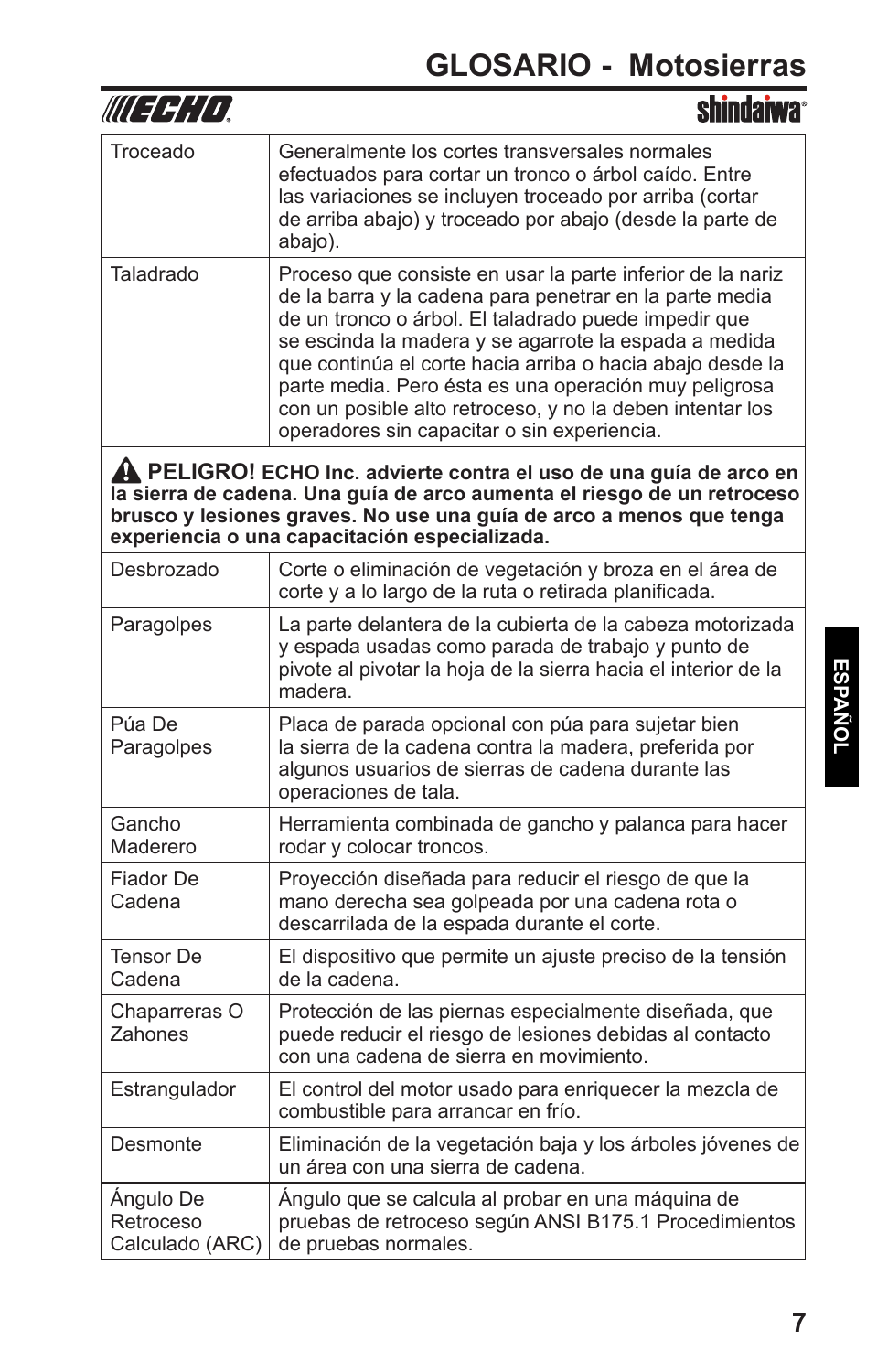| III EEHID                                                                                                                                                                                                                                                             | <b>shindaiwa</b>                                                                                                                                                                                                                                                                                                                                                                                                                                                         |  |
|-----------------------------------------------------------------------------------------------------------------------------------------------------------------------------------------------------------------------------------------------------------------------|--------------------------------------------------------------------------------------------------------------------------------------------------------------------------------------------------------------------------------------------------------------------------------------------------------------------------------------------------------------------------------------------------------------------------------------------------------------------------|--|
| Troceado                                                                                                                                                                                                                                                              | Generalmente los cortes transversales normales<br>efectuados para cortar un tronco o árbol caído. Entre<br>las variaciones se incluyen troceado por arriba (cortar<br>de arriba abajo) y troceado por abajo (desde la parte de<br>abajo).                                                                                                                                                                                                                                |  |
| Taladrado                                                                                                                                                                                                                                                             | Proceso que consiste en usar la parte inferior de la nariz<br>de la barra y la cadena para penetrar en la parte media<br>de un tronco o árbol. El taladrado puede impedir que<br>se escinda la madera y se agarrote la espada a medida<br>que continúa el corte hacia arriba o hacia abajo desde la<br>parte media. Pero ésta es una operación muy peligrosa<br>con un posible alto retroceso, y no la deben intentar los<br>operadores sin capacitar o sin experiencia. |  |
| A PELIGRO! ECHO Inc. advierte contra el uso de una guía de arco en<br>la sierra de cadena. Una guía de arco aumenta el riesgo de un retroceso<br>brusco y lesiones graves. No use una guía de arco a menos que tenga<br>experiencia o una capacitación especializada. |                                                                                                                                                                                                                                                                                                                                                                                                                                                                          |  |
| Desbrozado                                                                                                                                                                                                                                                            | Corte o eliminación de vegetación y broza en el área de<br>corte y a lo largo de la ruta o retirada planificada.                                                                                                                                                                                                                                                                                                                                                         |  |
| Paragolpes                                                                                                                                                                                                                                                            | La parte delantera de la cubierta de la cabeza motorizada<br>y espada usadas como parada de trabajo y punto de<br>pivote al pivotar la hoja de la sierra hacia el interior de la<br>madera.                                                                                                                                                                                                                                                                              |  |
| Púa De<br>Paragolpes                                                                                                                                                                                                                                                  | Placa de parada opcional con púa para sujetar bien<br>la sierra de la cadena contra la madera, preferida por<br>algunos usuarios de sierras de cadena durante las<br>operaciones de tala.                                                                                                                                                                                                                                                                                |  |
| Gancho<br>Maderero                                                                                                                                                                                                                                                    | Herramienta combinada de gancho y palanca para hacer<br>rodar y colocar troncos.                                                                                                                                                                                                                                                                                                                                                                                         |  |
| Fiador De<br>Cadena                                                                                                                                                                                                                                                   | Proyección diseñada para reducir el riesgo de que la<br>mano derecha sea golpeada por una cadena rota o<br>descarrilada de la espada durante el corte.                                                                                                                                                                                                                                                                                                                   |  |
| Tensor De<br>Cadena                                                                                                                                                                                                                                                   | El dispositivo que permite un ajuste preciso de la tensión<br>de la cadena.                                                                                                                                                                                                                                                                                                                                                                                              |  |
| Chaparreras O<br>Zahones                                                                                                                                                                                                                                              | Protección de las piernas especialmente diseñada, que<br>puede reducir el riesgo de lesiones debidas al contacto<br>con una cadena de sierra en movimiento.                                                                                                                                                                                                                                                                                                              |  |
| Estrangulador                                                                                                                                                                                                                                                         | El control del motor usado para enriquecer la mezcla de<br>combustible para arrancar en frío.                                                                                                                                                                                                                                                                                                                                                                            |  |
| Desmonte                                                                                                                                                                                                                                                              | Eliminación de la vegetación baja y los árboles jóvenes de<br>un área con una sierra de cadena.                                                                                                                                                                                                                                                                                                                                                                          |  |
| Ángulo De<br>Retroceso<br>Calculado (ARC)                                                                                                                                                                                                                             | Ángulo que se calcula al probar en una máquina de<br>pruebas de retroceso según ANSI B175.1 Procedimientos<br>de pruebas normales.                                                                                                                                                                                                                                                                                                                                       |  |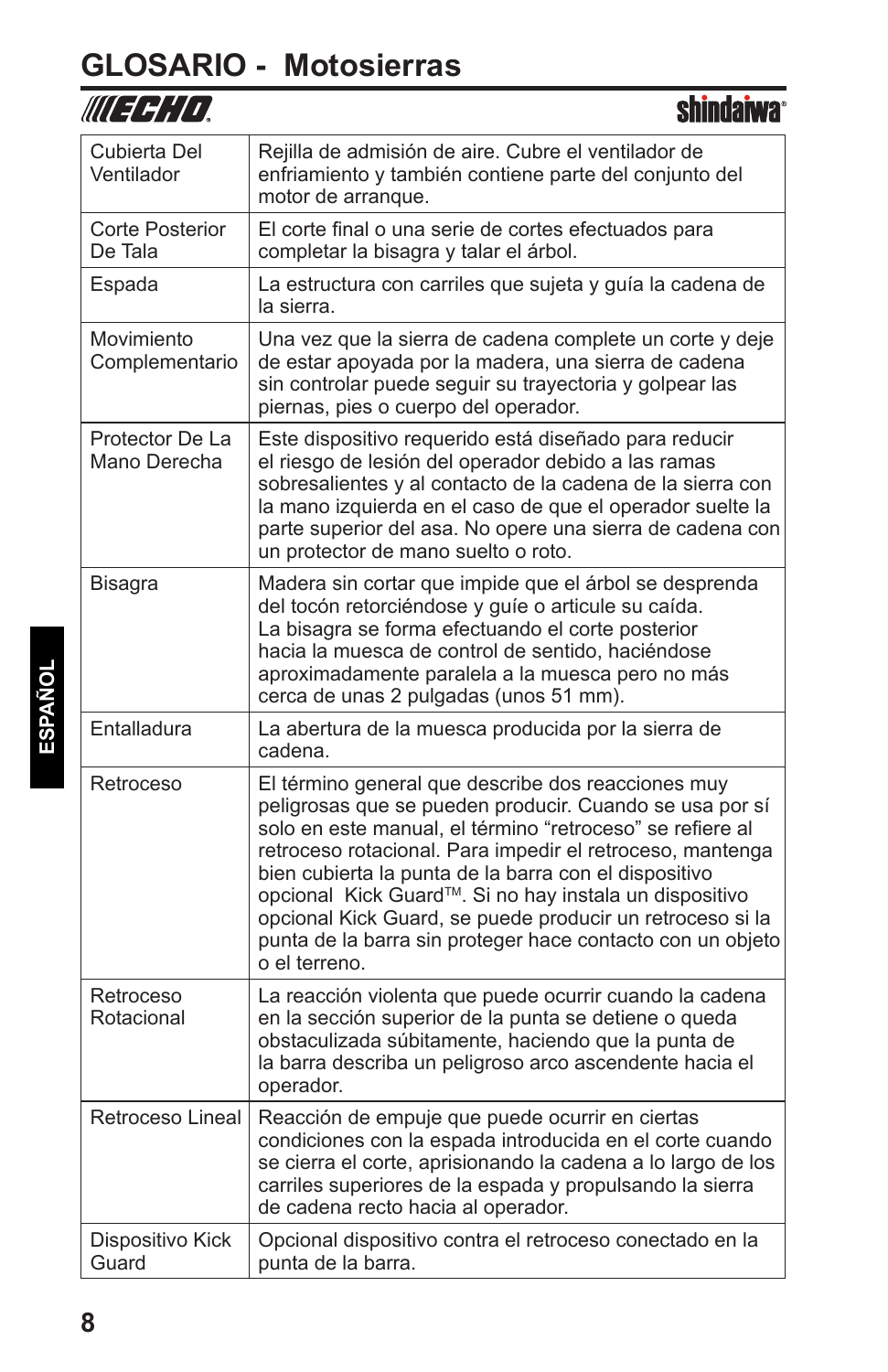## **GLOSARIO - Motosierras**

| WU 47,14                          | SIIIIIUdIWd                                                                                                                                                                                                                                                                                                                                                                                                                                                                                                         |
|-----------------------------------|---------------------------------------------------------------------------------------------------------------------------------------------------------------------------------------------------------------------------------------------------------------------------------------------------------------------------------------------------------------------------------------------------------------------------------------------------------------------------------------------------------------------|
| Cubierta Del<br>Ventilador        | Rejilla de admisión de aire. Cubre el ventilador de<br>enfriamiento y también contiene parte del conjunto del<br>motor de arranque.                                                                                                                                                                                                                                                                                                                                                                                 |
| <b>Corte Posterior</b><br>De Tala | El corte final o una serie de cortes efectuados para<br>completar la bisagra y talar el árbol.                                                                                                                                                                                                                                                                                                                                                                                                                      |
| Espada                            | La estructura con carriles que sujeta y guía la cadena de<br>la sierra.                                                                                                                                                                                                                                                                                                                                                                                                                                             |
| Movimiento<br>Complementario      | Una vez que la sierra de cadena complete un corte y deje<br>de estar apoyada por la madera, una sierra de cadena<br>sin controlar puede seguir su trayectoria y golpear las<br>piernas, pies o cuerpo del operador.                                                                                                                                                                                                                                                                                                 |
| Protector De La<br>Mano Derecha   | Este dispositivo requerido está diseñado para reducir<br>el riesgo de lesión del operador debido a las ramas<br>sobresalientes y al contacto de la cadena de la sierra con<br>la mano izquierda en el caso de que el operador suelte la<br>parte superior del asa. No opere una sierra de cadena con<br>un protector de mano suelto o roto.                                                                                                                                                                         |
| Bisagra                           | Madera sin cortar que impide que el árbol se desprenda<br>del tocón retorciéndose y guíe o articule su caída.<br>La bisagra se forma efectuando el corte posterior<br>hacia la muesca de control de sentido, haciéndose<br>aproximadamente paralela a la muesca pero no más<br>cerca de unas 2 pulgadas (unos 51 mm).                                                                                                                                                                                               |
| Entalladura                       | La abertura de la muesca producida por la sierra de<br>cadena.                                                                                                                                                                                                                                                                                                                                                                                                                                                      |
| Retroceso                         | El término general que describe dos reacciones muy<br>peligrosas que se pueden producir. Cuando se usa por sí<br>solo en este manual, el término "retroceso" se refiere al<br>retroceso rotacional. Para impedir el retroceso, mantenga<br>bien cubierta la punta de la barra con el dispositivo<br>opcional Kick Guard <sup>™</sup> . Si no hay instala un dispositivo<br>opcional Kick Guard, se puede producir un retroceso si la<br>punta de la barra sin proteger hace contacto con un objeto<br>o el terreno. |
| Retroceso<br>Rotacional           | La reacción violenta que puede ocurrir cuando la cadena<br>en la sección superior de la punta se detiene o queda<br>obstaculizada súbitamente, haciendo que la punta de<br>la barra describa un peligroso arco ascendente hacia el<br>operador.                                                                                                                                                                                                                                                                     |
| Retroceso Lineal                  | Reacción de empuje que puede ocurrir en ciertas<br>condiciones con la espada introducida en el corte cuando<br>se cierra el corte, aprisionando la cadena a lo largo de los<br>carriles superiores de la espada y propulsando la sierra<br>de cadena recto hacia al operador.                                                                                                                                                                                                                                       |
| Dispositivo Kick<br>Guard         | Opcional dispositivo contra el retroceso conectado en la<br>punta de la barra.                                                                                                                                                                                                                                                                                                                                                                                                                                      |

ohindohuos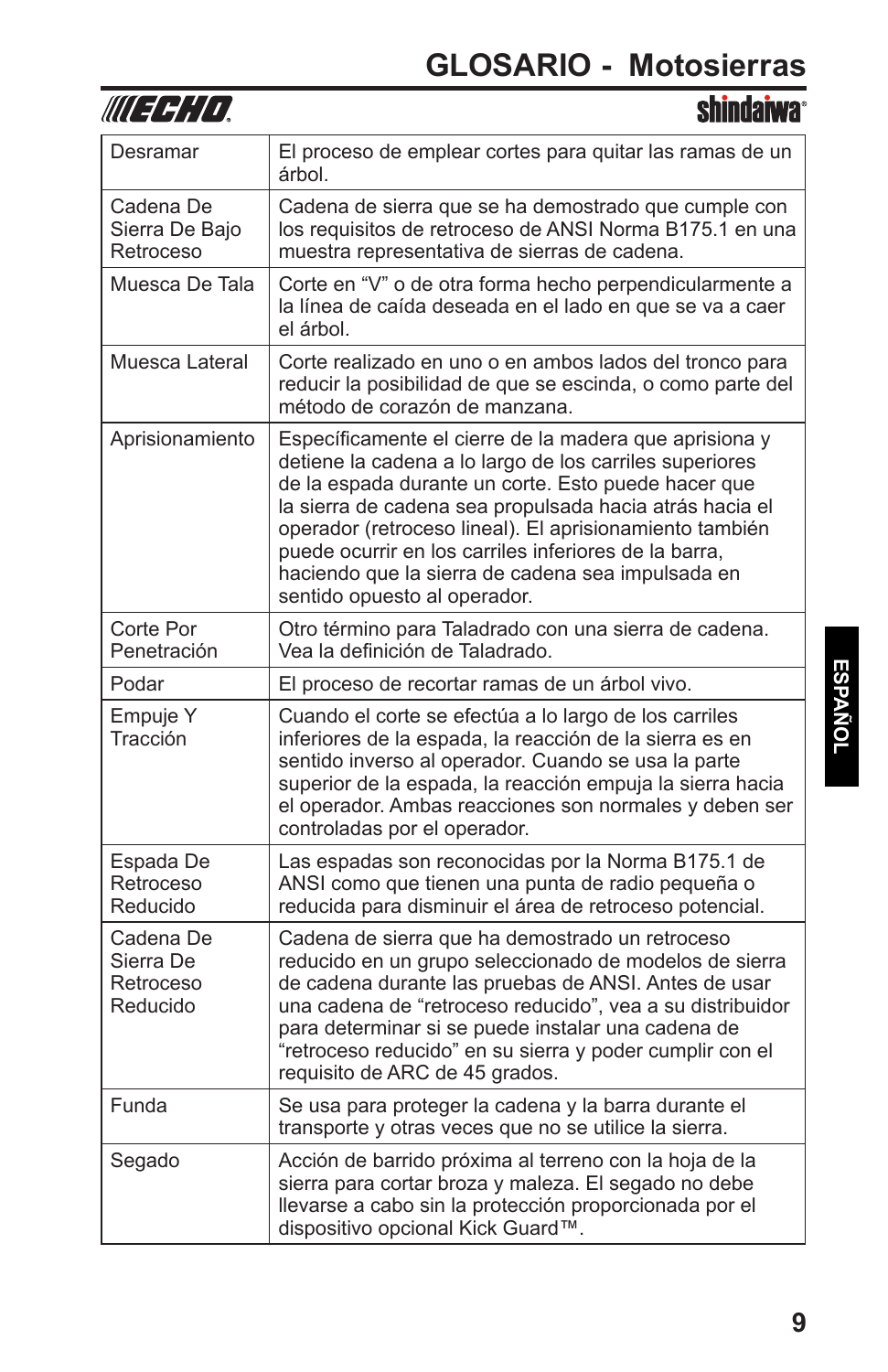

| Desramar                                        | El proceso de emplear cortes para quitar las ramas de un<br>árbol.                                                                                                                                                                                                                                                                                                                                                                           |
|-------------------------------------------------|----------------------------------------------------------------------------------------------------------------------------------------------------------------------------------------------------------------------------------------------------------------------------------------------------------------------------------------------------------------------------------------------------------------------------------------------|
| Cadena De<br>Sierra De Bajo<br>Retroceso        | Cadena de sierra que se ha demostrado que cumple con<br>los requisitos de retroceso de ANSI Norma B175.1 en una<br>muestra representativa de sierras de cadena.                                                                                                                                                                                                                                                                              |
| Muesca De Tala                                  | Corte en "V" o de otra forma hecho perpendicularmente a<br>la línea de caída deseada en el lado en que se va a caer<br>el árbol.                                                                                                                                                                                                                                                                                                             |
| Muesca Lateral                                  | Corte realizado en uno o en ambos lados del tronco para<br>reducir la posibilidad de que se escinda, o como parte del<br>método de corazón de manzana.                                                                                                                                                                                                                                                                                       |
| Aprisionamiento                                 | Específicamente el cierre de la madera que aprisiona y<br>detiene la cadena a lo largo de los carriles superiores<br>de la espada durante un corte. Esto puede hacer que<br>la sierra de cadena sea propulsada hacia atrás hacia el<br>operador (retroceso lineal). El aprisionamiento también<br>puede ocurrir en los carriles inferiores de la barra,<br>haciendo que la sierra de cadena sea impulsada en<br>sentido opuesto al operador. |
| Corte Por<br>Penetración                        | Otro término para Taladrado con una sierra de cadena.<br>Vea la definición de Taladrado.                                                                                                                                                                                                                                                                                                                                                     |
| Podar                                           | El proceso de recortar ramas de un árbol vivo.                                                                                                                                                                                                                                                                                                                                                                                               |
| Empuje Y<br>Tracción                            | Cuando el corte se efectúa a lo largo de los carriles<br>inferiores de la espada, la reacción de la sierra es en<br>sentido inverso al operador. Cuando se usa la parte<br>superior de la espada, la reacción empuja la sierra hacia<br>el operador. Ambas reacciones son normales y deben ser<br>controladas por el operador.                                                                                                               |
| Espada De<br>Retroceso<br>Reducido              | Las espadas son reconocidas por la Norma B175.1 de<br>ANSI como que tienen una punta de radio pequeña o<br>reducida para disminuir el área de retroceso potencial.                                                                                                                                                                                                                                                                           |
| Cadena De<br>Sierra De<br>Retroceso<br>Reducido | Cadena de sierra que ha demostrado un retroceso<br>reducido en un grupo seleccionado de modelos de sierra<br>de cadena durante las pruebas de ANSI. Antes de usar<br>una cadena de "retroceso reducido", vea a su distribuidor<br>para determinar si se puede instalar una cadena de<br>"retroceso reducido" en su sierra y poder cumplir con el<br>requisito de ARC de 45 grados.                                                           |
| Funda                                           | Se usa para proteger la cadena y la barra durante el<br>transporte y otras veces que no se utilice la sierra.                                                                                                                                                                                                                                                                                                                                |
| Segado                                          | Acción de barrido próxima al terreno con la hoja de la<br>sierra para cortar broza y maleza. El segado no debe<br>llevarse a cabo sin la protección proporcionada por el<br>dispositivo opcional Kick Guard™.                                                                                                                                                                                                                                |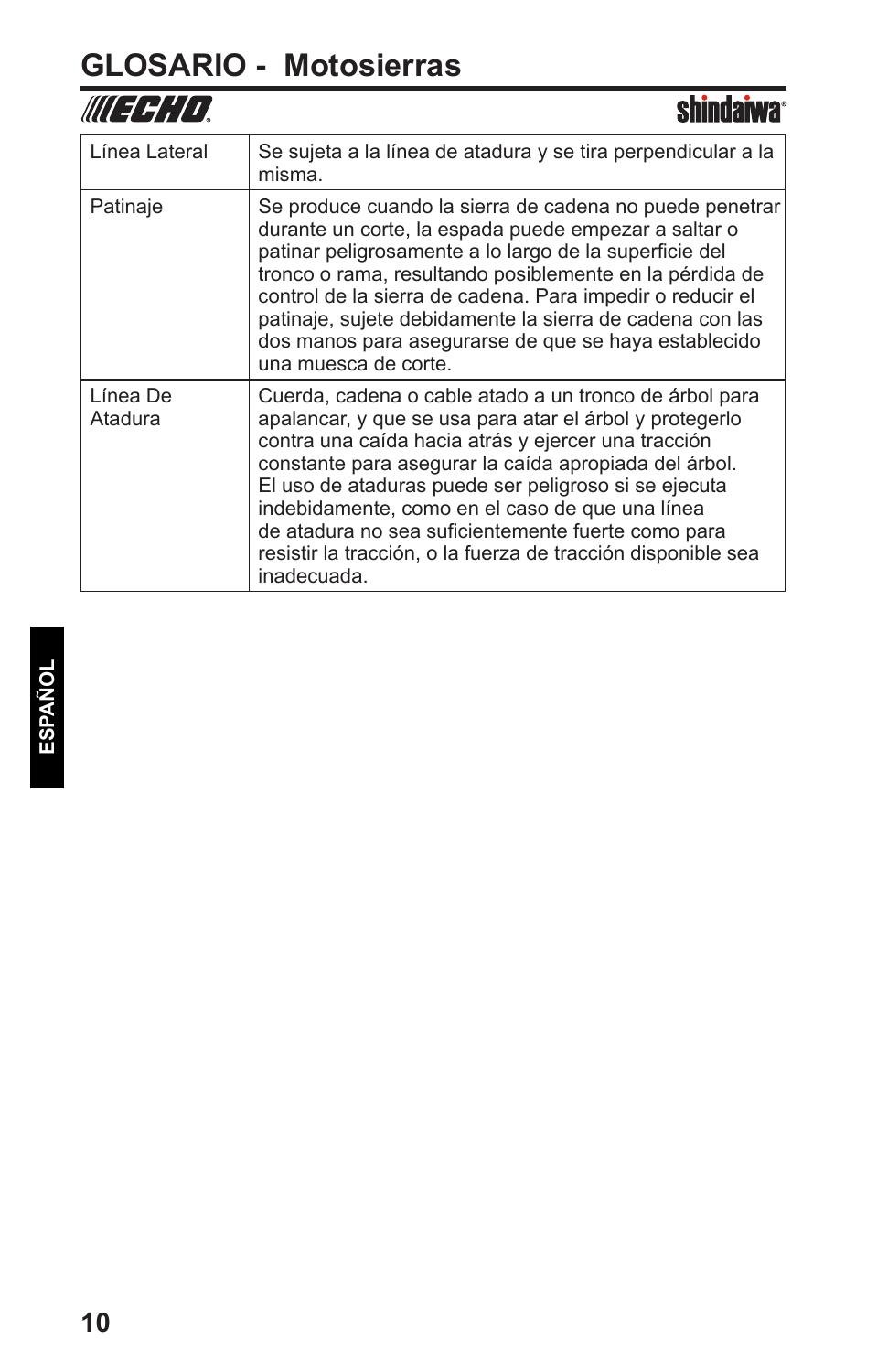## **GLOSARIO - Motosierras**

| //// <i>dd;/i</i>   | <b>chindaiwa</b>                                                                                                                                                                                                                                                                                                                                                                                                                                                                  |
|---------------------|-----------------------------------------------------------------------------------------------------------------------------------------------------------------------------------------------------------------------------------------------------------------------------------------------------------------------------------------------------------------------------------------------------------------------------------------------------------------------------------|
| Línea Lateral       | Se sujeta a la línea de atadura y se tira perpendicular a la<br>misma.                                                                                                                                                                                                                                                                                                                                                                                                            |
| Patinaje            | Se produce cuando la sierra de cadena no puede penetrar<br>durante un corte, la espada puede empezar a saltar o<br>patinar peligrosamente a lo largo de la superficie del<br>tronco o rama, resultando posiblemente en la pérdida de<br>control de la sierra de cadena. Para impedir o reducir el<br>patinaje, sujete debidamente la sierra de cadena con las<br>dos manos para asegurarse de que se haya establecido<br>una muesca de corte.                                     |
| Línea De<br>Atadura | Cuerda, cadena o cable atado a un tronco de árbol para<br>apalancar, y que se usa para atar el árbol y protegerlo<br>contra una caída hacia atrás y ejercer una tracción<br>constante para asegurar la caída apropiada del árbol.<br>El uso de ataduras puede ser peligroso si se ejecuta<br>indebidamente, como en el caso de que una línea<br>de atadura no sea suficientemente fuerte como para<br>resistir la tracción, o la fuerza de tracción disponible sea<br>inadecuada. |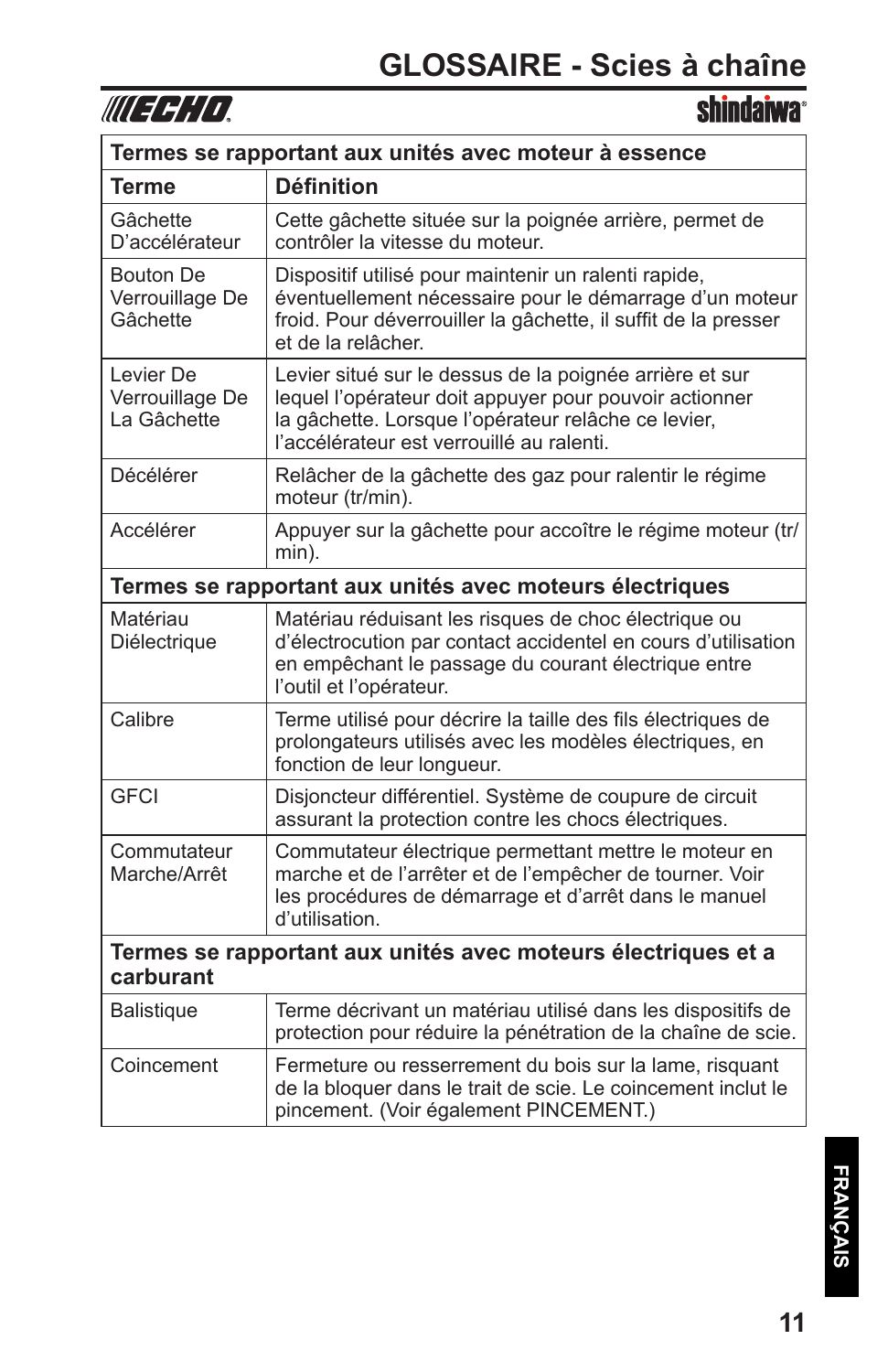

**shindaiwa**<sup>®</sup>

| Termes se rapportant aux unités avec moteur à essence                      |                                                                                                                                                                                                                       |  |
|----------------------------------------------------------------------------|-----------------------------------------------------------------------------------------------------------------------------------------------------------------------------------------------------------------------|--|
| Terme                                                                      | <b>Définition</b>                                                                                                                                                                                                     |  |
| Gâchette<br>D'accélérateur                                                 | Cette gâchette située sur la poignée arrière, permet de<br>contrôler la vitesse du moteur.                                                                                                                            |  |
| <b>Bouton De</b><br>Verrouillage De<br>Gâchette                            | Dispositif utilisé pour maintenir un ralenti rapide,<br>éventuellement nécessaire pour le démarrage d'un moteur<br>froid. Pour déverrouiller la gâchette, il suffit de la presser<br>et de la relâcher.               |  |
| Levier De<br>Verrouillage De<br>La Gâchette                                | Levier situé sur le dessus de la poignée arrière et sur<br>lequel l'opérateur doit appuyer pour pouvoir actionner<br>la gâchette. Lorsque l'opérateur relâche ce levier,<br>l'accélérateur est verrouillé au ralenti. |  |
| Décélérer                                                                  | Relâcher de la gâchette des gaz pour ralentir le régime<br>moteur (tr/min).                                                                                                                                           |  |
| Accélérer                                                                  | Appuyer sur la gâchette pour accoître le régime moteur (tr/<br>min).                                                                                                                                                  |  |
| Termes se rapportant aux unités avec moteurs électriques                   |                                                                                                                                                                                                                       |  |
| Matériau<br>Diélectrique                                                   | Matériau réduisant les risques de choc électrique ou<br>d'électrocution par contact accidentel en cours d'utilisation<br>en empêchant le passage du courant électrique entre<br>l'outil et l'opérateur.               |  |
| Calibre                                                                    | Terme utilisé pour décrire la taille des fils électriques de<br>prolongateurs utilisés avec les modèles électriques, en<br>fonction de leur longueur.                                                                 |  |
| <b>GFCI</b>                                                                | Disjoncteur différentiel. Système de coupure de circuit<br>assurant la protection contre les chocs électriques.                                                                                                       |  |
| Commutateur<br>Marche/Arrêt                                                | Commutateur électrique permettant mettre le moteur en<br>marche et de l'arrêter et de l'empêcher de tourner. Voir<br>les procédures de démarrage et d'arrêt dans le manuel<br>d'utilisation.                          |  |
| Termes se rapportant aux unités avec moteurs électriques et a<br>carburant |                                                                                                                                                                                                                       |  |
| <b>Balistique</b>                                                          | Terme décrivant un matériau utilisé dans les dispositifs de<br>protection pour réduire la pénétration de la chaîne de scie.                                                                                           |  |
| Coincement                                                                 | Fermeture ou resserrement du bois sur la lame, risquant<br>de la bloquer dans le trait de scie. Le coincement inclut le<br>pincement. (Voir également PINCEMENT.)                                                     |  |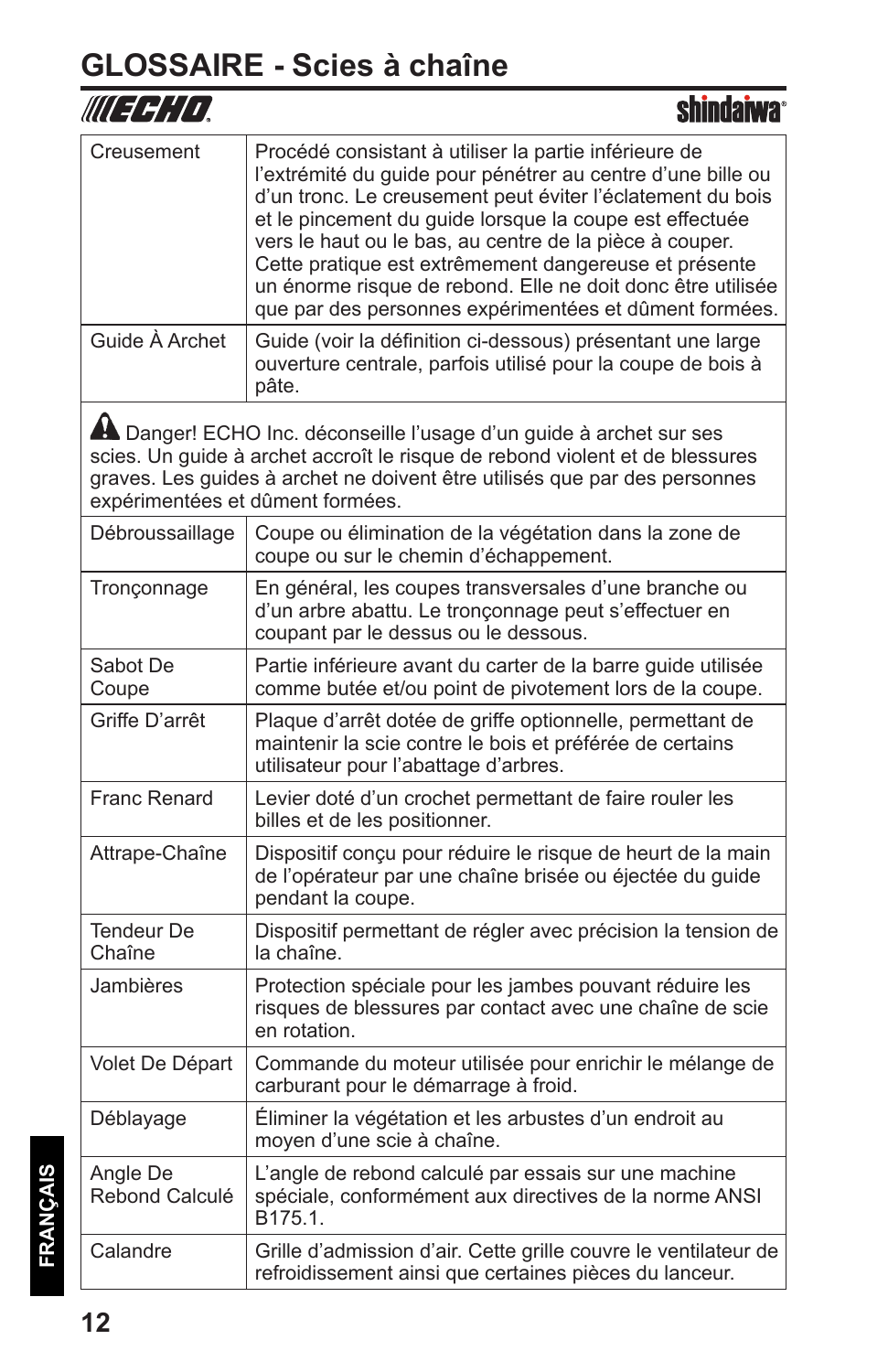### **GLOSSAIRE - Scies à chaîne**

|                                  | shindarwa                                                                                                                                                                                                                                                                                                                                                                                                                                                                                  |
|----------------------------------|--------------------------------------------------------------------------------------------------------------------------------------------------------------------------------------------------------------------------------------------------------------------------------------------------------------------------------------------------------------------------------------------------------------------------------------------------------------------------------------------|
| Creusement                       | Procédé consistant à utiliser la partie inférieure de<br>l'extrémité du guide pour pénétrer au centre d'une bille ou<br>d'un tronc. Le creusement peut éviter l'éclatement du bois<br>et le pincement du guide lorsque la coupe est effectuée<br>vers le haut ou le bas, au centre de la pièce à couper.<br>Cette pratique est extrêmement dangereuse et présente<br>un énorme risque de rebond. Elle ne doit donc être utilisée<br>que par des personnes expérimentées et dûment formées. |
| Guide À Archet                   | Guide (voir la définition ci-dessous) présentant une large<br>ouverture centrale, parfois utilisé pour la coupe de bois à<br>pâte.                                                                                                                                                                                                                                                                                                                                                         |
| expérimentées et dûment formées. | A Danger! ECHO Inc. déconseille l'usage d'un guide à archet sur ses<br>scies. Un guide à archet accroît le risque de rebond violent et de blessures<br>graves. Les guides à archet ne doivent être utilisés que par des personnes                                                                                                                                                                                                                                                          |
| Débroussaillage                  | Coupe ou élimination de la végétation dans la zone de<br>coupe ou sur le chemin d'échappement.                                                                                                                                                                                                                                                                                                                                                                                             |
| Tronçonnage                      | En général, les coupes transversales d'une branche ou<br>d'un arbre abattu. Le tronçonnage peut s'effectuer en<br>coupant par le dessus ou le dessous.                                                                                                                                                                                                                                                                                                                                     |
| Sabot De<br>Coupe                | Partie inférieure avant du carter de la barre guide utilisée<br>comme butée et/ou point de pivotement lors de la coupe.                                                                                                                                                                                                                                                                                                                                                                    |
| Griffe D'arrêt                   | Plaque d'arrêt dotée de griffe optionnelle, permettant de<br>maintenir la scie contre le bois et préférée de certains<br>utilisateur pour l'abattage d'arbres.                                                                                                                                                                                                                                                                                                                             |
| Franc Renard                     | Levier doté d'un crochet permettant de faire rouler les<br>billes et de les positionner.                                                                                                                                                                                                                                                                                                                                                                                                   |
| Attrape-Chaîne                   | Dispositif conçu pour réduire le risque de heurt de la main<br>de l'opérateur par une chaîne brisée ou éjectée du guide<br>pendant la coupe.                                                                                                                                                                                                                                                                                                                                               |
| <b>Tendeur De</b><br>Chaîne      | Dispositif permettant de régler avec précision la tension de<br>la chaîne.                                                                                                                                                                                                                                                                                                                                                                                                                 |
| Jambières                        | Protection spéciale pour les jambes pouvant réduire les<br>risques de blessures par contact avec une chaîne de scie<br>en rotation.                                                                                                                                                                                                                                                                                                                                                        |
| Volet De Départ                  | Commande du moteur utilisée pour enrichir le mélange de<br>carburant pour le démarrage à froid.                                                                                                                                                                                                                                                                                                                                                                                            |
| Déblayage                        | Éliminer la végétation et les arbustes d'un endroit au<br>moyen d'une scie à chaîne.                                                                                                                                                                                                                                                                                                                                                                                                       |
| Angle De<br>Rebond Calculé       | L'angle de rebond calculé par essais sur une machine<br>spéciale, conformément aux directives de la norme ANSI<br>B175.1.                                                                                                                                                                                                                                                                                                                                                                  |
| Calandre                         | Grille d'admission d'air. Cette grille couvre le ventilateur de<br>refroidissement ainsi que certaines pièces du lanceur.                                                                                                                                                                                                                                                                                                                                                                  |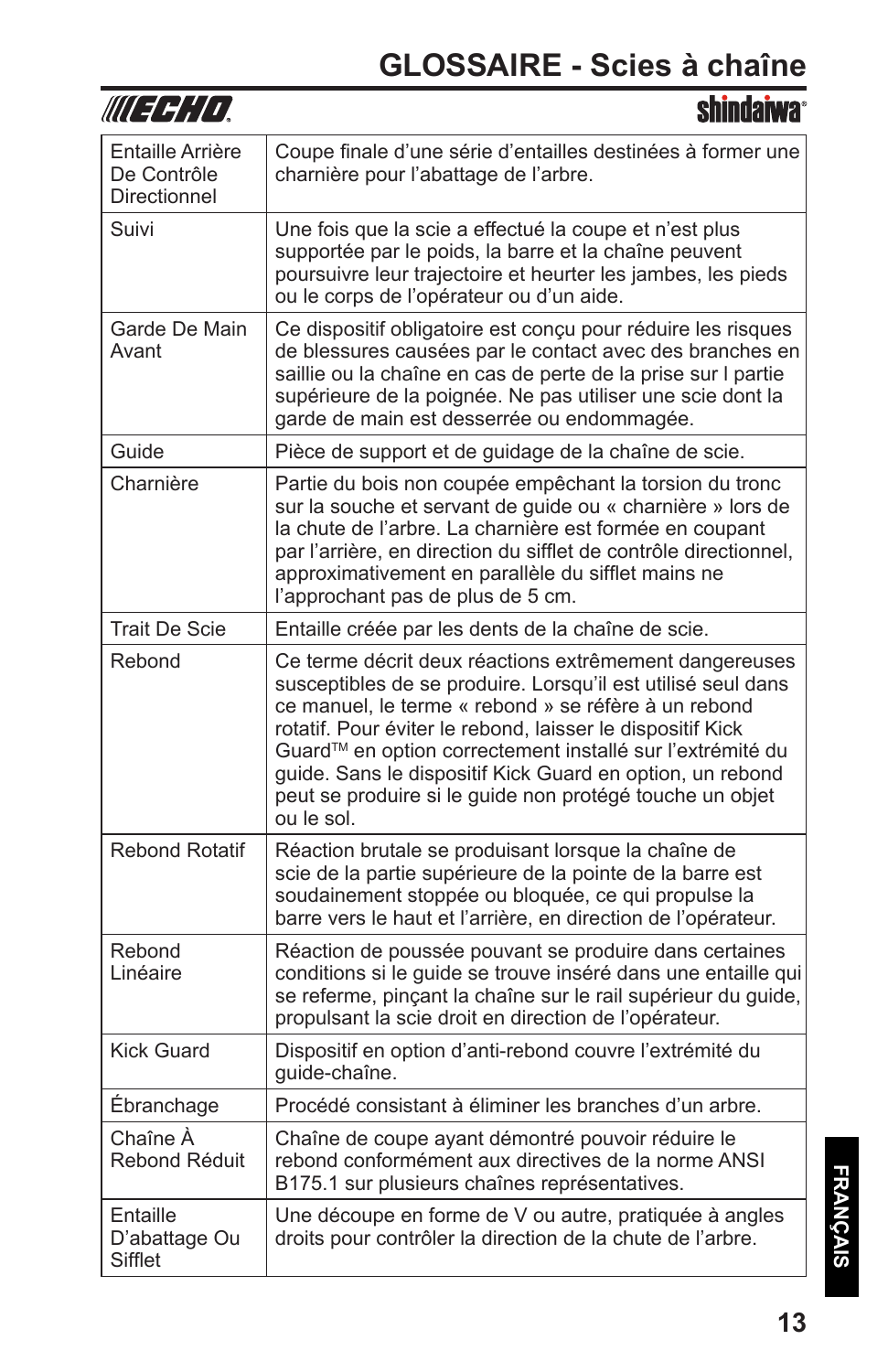### **GLOSSAIRE - Scies à chaîne**

| IIII 3 SI I I                                   |                                                                                                                                                                                                                                                                                                                                                                                                                                                  |
|-------------------------------------------------|--------------------------------------------------------------------------------------------------------------------------------------------------------------------------------------------------------------------------------------------------------------------------------------------------------------------------------------------------------------------------------------------------------------------------------------------------|
| Entaille Arrière<br>De Contrôle<br>Directionnel | Coupe finale d'une série d'entailles destinées à former une<br>charnière pour l'abattage de l'arbre.                                                                                                                                                                                                                                                                                                                                             |
| Suivi                                           | Une fois que la scie a effectué la coupe et n'est plus<br>supportée par le poids, la barre et la chaîne peuvent<br>poursuivre leur trajectoire et heurter les jambes, les pieds<br>ou le corps de l'opérateur ou d'un aide.                                                                                                                                                                                                                      |
| Garde De Main<br>Avant                          | Ce dispositif obligatoire est conçu pour réduire les risques<br>de blessures causées par le contact avec des branches en<br>saillie ou la chaîne en cas de perte de la prise sur I partie<br>supérieure de la poignée. Ne pas utiliser une scie dont la<br>garde de main est desserrée ou endommagée.                                                                                                                                            |
| Guide                                           | Pièce de support et de guidage de la chaîne de scie.                                                                                                                                                                                                                                                                                                                                                                                             |
| Charnière                                       | Partie du bois non coupée empêchant la torsion du tronc<br>sur la souche et servant de guide ou « charnière » lors de<br>la chute de l'arbre. La charnière est formée en coupant<br>par l'arrière, en direction du sifflet de contrôle directionnel,<br>approximativement en parallèle du sifflet mains ne<br>l'approchant pas de plus de 5 cm.                                                                                                  |
| <b>Trait De Scie</b>                            | Entaille créée par les dents de la chaîne de scie.                                                                                                                                                                                                                                                                                                                                                                                               |
| Rebond                                          | Ce terme décrit deux réactions extrêmement dangereuses<br>susceptibles de se produire. Lorsqu'il est utilisé seul dans<br>ce manuel, le terme « rebond » se réfère à un rebond<br>rotatif. Pour éviter le rebond, laisser le dispositif Kick<br>Guard™ en option correctement installé sur l'extrémité du<br>guide. Sans le dispositif Kick Guard en option, un rebond<br>peut se produire si le quide non protégé touche un objet<br>ou le sol. |
| <b>Rebond Rotatif</b>                           | Réaction brutale se produisant lorsque la chaîne de<br>scie de la partie supérieure de la pointe de la barre est<br>soudainement stoppée ou bloquée, ce qui propulse la<br>barre vers le haut et l'arrière, en direction de l'opérateur.                                                                                                                                                                                                         |
| Rebond<br>Linéaire                              | Réaction de poussée pouvant se produire dans certaines<br>conditions si le guide se trouve inséré dans une entaille qui<br>se referme, pinçant la chaîne sur le rail supérieur du guide,<br>propulsant la scie droit en direction de l'opérateur.                                                                                                                                                                                                |
| <b>Kick Guard</b>                               | Dispositif en option d'anti-rebond couvre l'extrémité du<br>guide-chaîne.                                                                                                                                                                                                                                                                                                                                                                        |
| Ébranchage                                      | Procédé consistant à éliminer les branches d'un arbre.                                                                                                                                                                                                                                                                                                                                                                                           |
| Chaîne À<br>Rebond Réduit                       | Chaîne de coupe ayant démontré pouvoir réduire le<br>rebond conformément aux directives de la norme ANSI<br>B175.1 sur plusieurs chaînes représentatives.                                                                                                                                                                                                                                                                                        |
| Entaille<br>D'abattage Ou<br>Sifflet            | Une découpe en forme de V ou autre, pratiquée à angles<br>droits pour contrôler la direction de la chute de l'arbre.                                                                                                                                                                                                                                                                                                                             |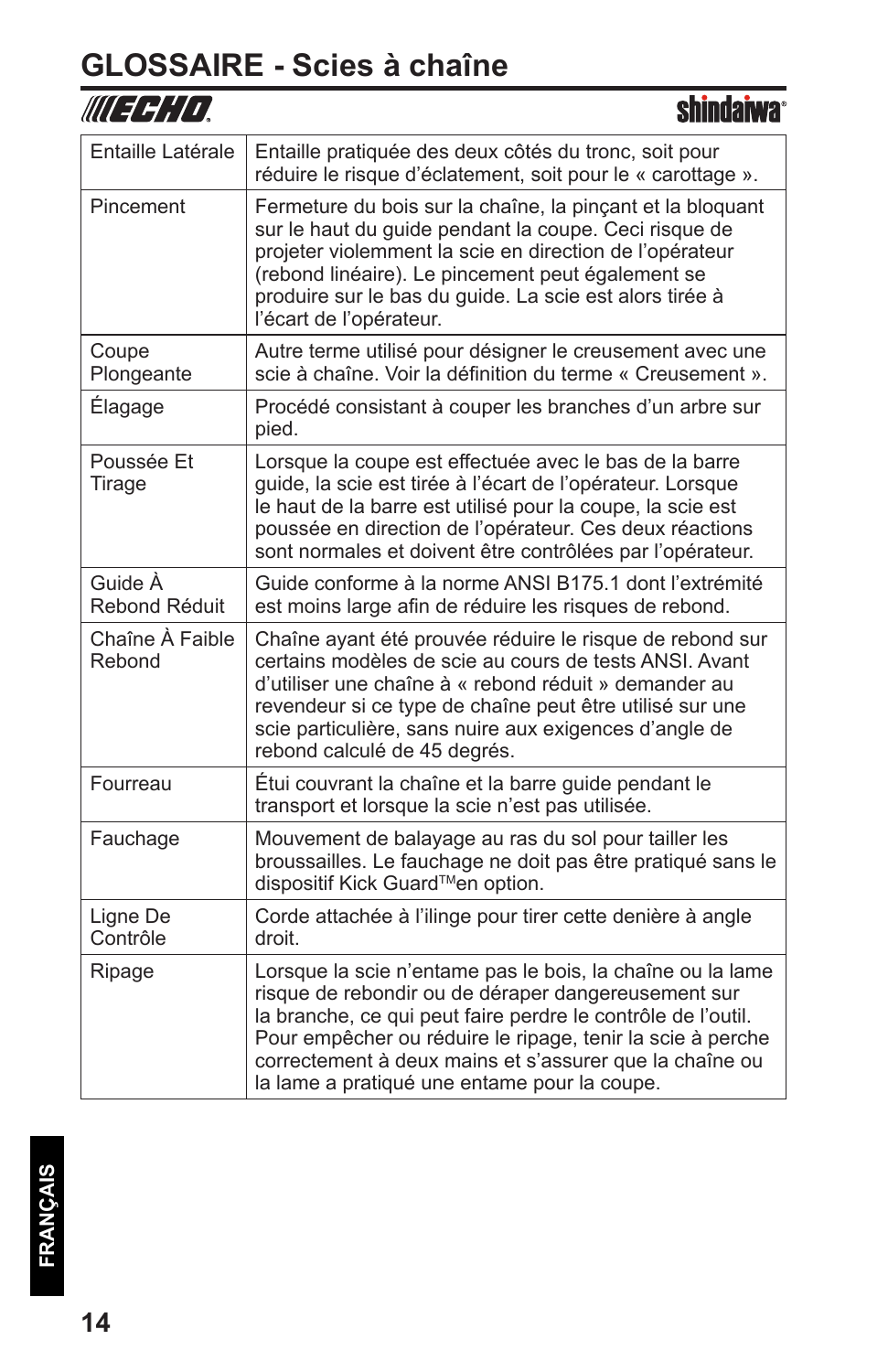### **GLOSSAIRE - Scies à chaîne**

|                           | snindarwa                                                                                                                                                                                                                                                                                                                                                  |
|---------------------------|------------------------------------------------------------------------------------------------------------------------------------------------------------------------------------------------------------------------------------------------------------------------------------------------------------------------------------------------------------|
| Entaille Latérale         | Entaille pratiquée des deux côtés du tronc, soit pour<br>réduire le risque d'éclatement, soit pour le « carottage ».                                                                                                                                                                                                                                       |
| Pincement                 | Fermeture du bois sur la chaîne, la pinçant et la bloquant<br>sur le haut du guide pendant la coupe. Ceci risque de<br>projeter violemment la scie en direction de l'opérateur<br>(rebond linéaire). Le pincement peut également se<br>produire sur le bas du guide. La scie est alors tirée à<br>l'écart de l'opérateur.                                  |
| Coupe<br>Plongeante       | Autre terme utilisé pour désigner le creusement avec une<br>scie à chaîne. Voir la définition du terme « Creusement ».                                                                                                                                                                                                                                     |
| Élagage                   | Procédé consistant à couper les branches d'un arbre sur<br>pied.                                                                                                                                                                                                                                                                                           |
| Poussée Et<br>Tirage      | Lorsque la coupe est effectuée avec le bas de la barre<br>guide, la scie est tirée à l'écart de l'opérateur. Lorsque<br>le haut de la barre est utilisé pour la coupe, la scie est<br>poussée en direction de l'opérateur. Ces deux réactions<br>sont normales et doivent être contrôlées par l'opérateur.                                                 |
| Guide À<br>Rebond Réduit  | Guide conforme à la norme ANSI B175.1 dont l'extrémité<br>est moins large afin de réduire les risques de rebond.                                                                                                                                                                                                                                           |
| Chaîne À Faible<br>Rebond | Chaîne ayant été prouvée réduire le risque de rebond sur<br>certains modèles de scie au cours de tests ANSI. Avant<br>d'utiliser une chaîne à « rebond réduit » demander au<br>revendeur si ce type de chaîne peut être utilisé sur une<br>scie particulière, sans nuire aux exigences d'angle de<br>rebond calculé de 45 degrés.                          |
| Fourreau                  | Étui couvrant la chaîne et la barre guide pendant le<br>transport et lorsque la scie n'est pas utilisée.                                                                                                                                                                                                                                                   |
| Fauchage                  | Mouvement de balayage au ras du sol pour tailler les<br>broussailles. Le fauchage ne doit pas être pratiqué sans le<br>dispositif Kick Guard™en option.                                                                                                                                                                                                    |
| Ligne De<br>Contrôle      | Corde attachée à l'ilinge pour tirer cette denière à angle<br>droit.                                                                                                                                                                                                                                                                                       |
| Ripage                    | Lorsque la scie n'entame pas le bois, la chaîne ou la lame<br>risque de rebondir ou de déraper dangereusement sur<br>la branche, ce qui peut faire perdre le contrôle de l'outil.<br>Pour empêcher ou réduire le ripage, tenir la scie à perche<br>correctement à deux mains et s'assurer que la chaîne ou<br>la lame a pratiqué une entame pour la coupe. |

τ